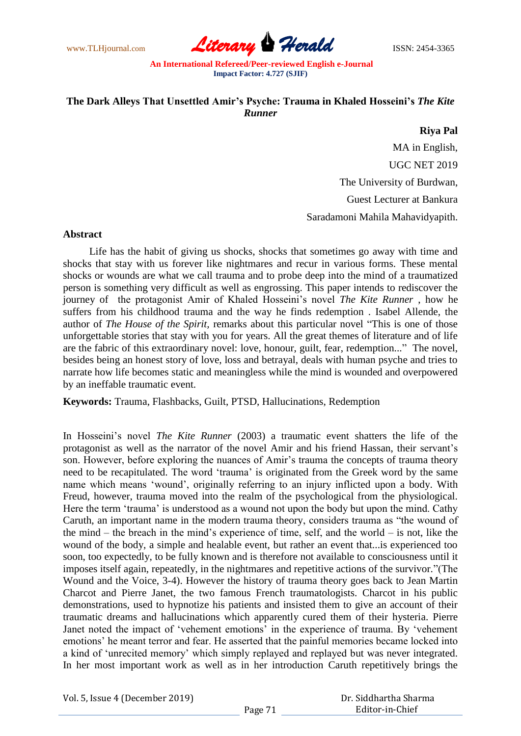www.TLHjournal.com **Literary Herald ISSN: 2454-3365** 

# **The Dark Alleys That Unsettled Amir's Psyche: Trauma in Khaled Hosseini's** *The Kite Runner*

### **Riya Pal**

MA in English, UGC NET 2019 The University of Burdwan, Guest Lecturer at Bankura Saradamoni Mahila Mahavidyapith.

#### **Abstract**

 Life has the habit of giving us shocks, shocks that sometimes go away with time and shocks that stay with us forever like nightmares and recur in various forms. These mental shocks or wounds are what we call trauma and to probe deep into the mind of a traumatized person is something very difficult as well as engrossing. This paper intends to rediscover the journey of the protagonist Amir of Khaled Hosseini"s novel *The Kite Runner* , how he suffers from his childhood trauma and the way he finds redemption . Isabel Allende, the author of *The House of the Spirit,* remarks about this particular novel "This is one of those unforgettable stories that stay with you for years. All the great themes of literature and of life are the fabric of this extraordinary novel: love, honour, guilt, fear, redemption..." The novel, besides being an honest story of love, loss and betrayal, deals with human psyche and tries to narrate how life becomes static and meaningless while the mind is wounded and overpowered by an ineffable traumatic event.

**Keywords:** Trauma, Flashbacks, Guilt, PTSD, Hallucinations, Redemption

In Hosseini"s novel *The Kite Runner* (2003) a traumatic event shatters the life of the protagonist as well as the narrator of the novel Amir and his friend Hassan, their servant"s son. However, before exploring the nuances of Amir"s trauma the concepts of trauma theory need to be recapitulated. The word "trauma" is originated from the Greek word by the same name which means "wound", originally referring to an injury inflicted upon a body. With Freud, however, trauma moved into the realm of the psychological from the physiological. Here the term 'trauma' is understood as a wound not upon the body but upon the mind. Cathy Caruth, an important name in the modern trauma theory, considers trauma as "the wound of the mind – the breach in the mind's experience of time, self, and the world – is not, like the wound of the body, a simple and healable event, but rather an event that...is experienced too soon, too expectedly, to be fully known and is therefore not available to consciousness until it imposes itself again, repeatedly, in the nightmares and repetitive actions of the survivor."(The Wound and the Voice, 3-4). However the history of trauma theory goes back to Jean Martin Charcot and Pierre Janet, the two famous French traumatologists. Charcot in his public demonstrations, used to hypnotize his patients and insisted them to give an account of their traumatic dreams and hallucinations which apparently cured them of their hysteria. Pierre Janet noted the impact of 'vehement emotions' in the experience of trauma. By 'vehement emotions" he meant terror and fear. He asserted that the painful memories became locked into a kind of "unrecited memory" which simply replayed and replayed but was never integrated. In her most important work as well as in her introduction Caruth repetitively brings the

|  | Vol. 5, Issue 4 (December 2019) |
|--|---------------------------------|
|--|---------------------------------|

 Dr. Siddhartha Sharma Editor-in-Chief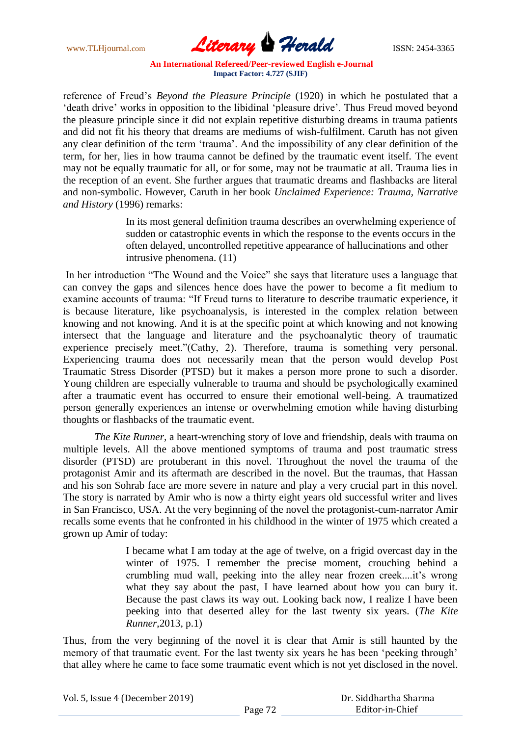

reference of Freud"s *Beyond the Pleasure Principle* (1920) in which he postulated that a 'death drive' works in opposition to the libidinal 'pleasure drive'. Thus Freud moved beyond the pleasure principle since it did not explain repetitive disturbing dreams in trauma patients and did not fit his theory that dreams are mediums of wish-fulfilment. Caruth has not given any clear definition of the term "trauma". And the impossibility of any clear definition of the term, for her, lies in how trauma cannot be defined by the traumatic event itself. The event may not be equally traumatic for all, or for some, may not be traumatic at all. Trauma lies in the reception of an event. She further argues that traumatic dreams and flashbacks are literal and non-symbolic. However, Caruth in her book *Unclaimed Experience: Trauma, Narrative and History* (1996) remarks:

> In its most general definition trauma describes an overwhelming experience of sudden or catastrophic events in which the response to the events occurs in the often delayed, uncontrolled repetitive appearance of hallucinations and other intrusive phenomena. (11)

In her introduction "The Wound and the Voice" she says that literature uses a language that can convey the gaps and silences hence does have the power to become a fit medium to examine accounts of trauma: "If Freud turns to literature to describe traumatic experience, it is because literature, like psychoanalysis, is interested in the complex relation between knowing and not knowing. And it is at the specific point at which knowing and not knowing intersect that the language and literature and the psychoanalytic theory of traumatic experience precisely meet."(Cathy, 2). Therefore, trauma is something very personal. Experiencing trauma does not necessarily mean that the person would develop Post Traumatic Stress Disorder (PTSD) but it makes a person more prone to such a disorder. Young children are especially vulnerable to trauma and should be psychologically examined after a traumatic event has occurred to ensure their emotional well-being. A traumatized person generally experiences an intense or overwhelming emotion while having disturbing thoughts or flashbacks of the traumatic event.

*The Kite Runner,* a heart-wrenching story of love and friendship, deals with trauma on multiple levels. All the above mentioned symptoms of trauma and post traumatic stress disorder (PTSD) are protuberant in this novel. Throughout the novel the trauma of the protagonist Amir and its aftermath are described in the novel. But the traumas, that Hassan and his son Sohrab face are more severe in nature and play a very crucial part in this novel. The story is narrated by Amir who is now a thirty eight years old successful writer and lives in San Francisco, USA. At the very beginning of the novel the protagonist-cum-narrator Amir recalls some events that he confronted in his childhood in the winter of 1975 which created a grown up Amir of today:

> I became what I am today at the age of twelve, on a frigid overcast day in the winter of 1975. I remember the precise moment, crouching behind a crumbling mud wall, peeking into the alley near frozen creek....it's wrong what they say about the past, I have learned about how you can bury it. Because the past claws its way out. Looking back now, I realize I have been peeking into that deserted alley for the last twenty six years. (*The Kite Runner*,2013, p.1)

Thus, from the very beginning of the novel it is clear that Amir is still haunted by the memory of that traumatic event. For the last twenty six years he has been "peeking through" that alley where he came to face some traumatic event which is not yet disclosed in the novel.

Vol. 5, Issue 4 (December 2019) Page 72 Dr. Siddhartha Sharma Editor-in-Chief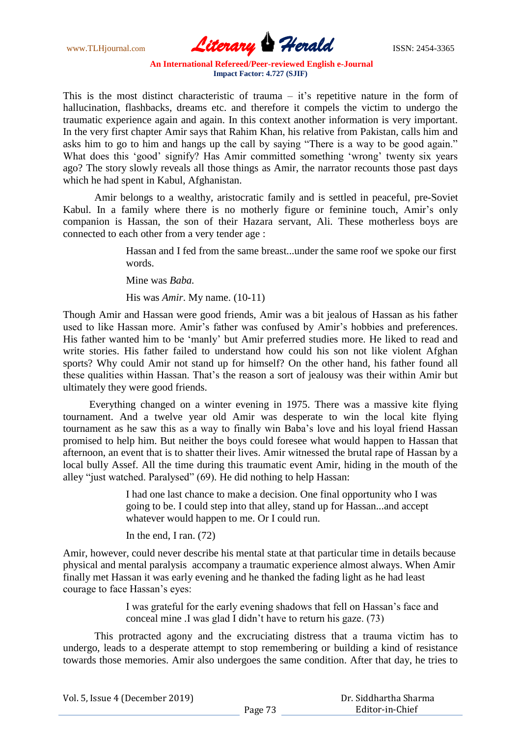www.TLHjournal.com **Literary Perald ISSN: 2454-3365** 

This is the most distinct characteristic of trauma  $-$  it's repetitive nature in the form of hallucination, flashbacks, dreams etc. and therefore it compels the victim to undergo the traumatic experience again and again. In this context another information is very important. In the very first chapter Amir says that Rahim Khan, his relative from Pakistan, calls him and asks him to go to him and hangs up the call by saying "There is a way to be good again." What does this 'good' signify? Has Amir committed something 'wrong' twenty six years ago? The story slowly reveals all those things as Amir, the narrator recounts those past days which he had spent in Kabul, Afghanistan.

Amir belongs to a wealthy, aristocratic family and is settled in peaceful, pre-Soviet Kabul. In a family where there is no motherly figure or feminine touch, Amir's only companion is Hassan, the son of their Hazara servant, Ali. These motherless boys are connected to each other from a very tender age :

> Hassan and I fed from the same breast...under the same roof we spoke our first words.

Mine was *Baba.*

His was *Amir*. My name. (10-11)

Though Amir and Hassan were good friends, Amir was a bit jealous of Hassan as his father used to like Hassan more. Amir's father was confused by Amir's hobbies and preferences. His father wanted him to be "manly" but Amir preferred studies more. He liked to read and write stories. His father failed to understand how could his son not like violent Afghan sports? Why could Amir not stand up for himself? On the other hand, his father found all these qualities within Hassan. That"s the reason a sort of jealousy was their within Amir but ultimately they were good friends.

 Everything changed on a winter evening in 1975. There was a massive kite flying tournament. And a twelve year old Amir was desperate to win the local kite flying tournament as he saw this as a way to finally win Baba"s love and his loyal friend Hassan promised to help him. But neither the boys could foresee what would happen to Hassan that afternoon, an event that is to shatter their lives. Amir witnessed the brutal rape of Hassan by a local bully Assef. All the time during this traumatic event Amir, hiding in the mouth of the alley "just watched. Paralysed" (69). He did nothing to help Hassan:

> I had one last chance to make a decision. One final opportunity who I was going to be. I could step into that alley, stand up for Hassan...and accept whatever would happen to me. Or I could run.

In the end, I ran. (72)

Amir, however, could never describe his mental state at that particular time in details because physical and mental paralysis accompany a traumatic experience almost always. When Amir finally met Hassan it was early evening and he thanked the fading light as he had least courage to face Hassan"s eyes:

> I was grateful for the early evening shadows that fell on Hassan"s face and conceal mine .I was glad I didn"t have to return his gaze. (73)

This protracted agony and the excruciating distress that a trauma victim has to undergo, leads to a desperate attempt to stop remembering or building a kind of resistance towards those memories. Amir also undergoes the same condition. After that day, he tries to

| Vol. 5, Issue 4 (December 2019) |         | Dr. Siddhartha Sharma |
|---------------------------------|---------|-----------------------|
|                                 | Page 73 | Editor-in-Chief       |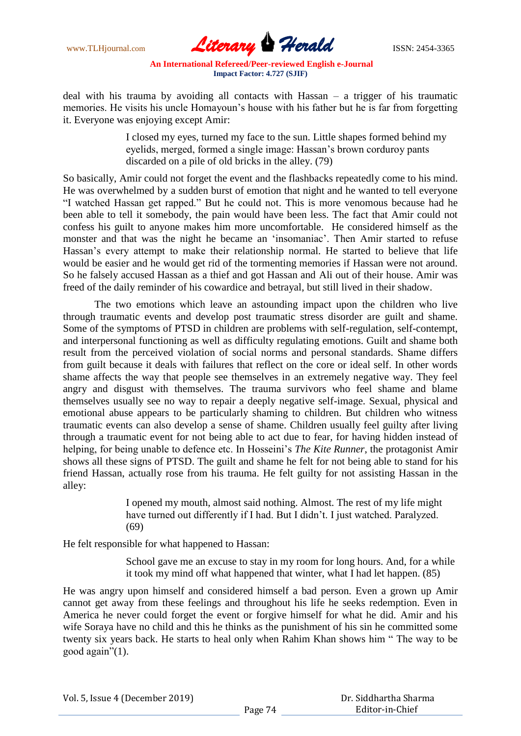

deal with his trauma by avoiding all contacts with Hassan – a trigger of his traumatic memories. He visits his uncle Homayoun's house with his father but he is far from forgetting it. Everyone was enjoying except Amir:

> I closed my eyes, turned my face to the sun. Little shapes formed behind my eyelids, merged, formed a single image: Hassan"s brown corduroy pants discarded on a pile of old bricks in the alley. (79)

So basically, Amir could not forget the event and the flashbacks repeatedly come to his mind. He was overwhelmed by a sudden burst of emotion that night and he wanted to tell everyone "I watched Hassan get rapped." But he could not. This is more venomous because had he been able to tell it somebody, the pain would have been less. The fact that Amir could not confess his guilt to anyone makes him more uncomfortable. He considered himself as the monster and that was the night he became an "insomaniac". Then Amir started to refuse Hassan"s every attempt to make their relationship normal. He started to believe that life would be easier and he would get rid of the tormenting memories if Hassan were not around. So he falsely accused Hassan as a thief and got Hassan and Ali out of their house. Amir was freed of the daily reminder of his cowardice and betrayal, but still lived in their shadow.

The two emotions which leave an astounding impact upon the children who live through traumatic events and develop post traumatic stress disorder are guilt and shame. Some of the symptoms of PTSD in children are problems with self-regulation, self-contempt, and interpersonal functioning as well as difficulty regulating emotions. Guilt and shame both result from the perceived violation of social norms and personal standards. Shame differs from guilt because it deals with failures that reflect on the core or ideal self. In other words shame affects the way that people see themselves in an extremely negative way. They feel angry and disgust with themselves. The trauma survivors who feel shame and blame themselves usually see no way to repair a deeply negative self-image. Sexual, physical and emotional abuse appears to be particularly shaming to children. But children who witness traumatic events can also develop a sense of shame. Children usually feel guilty after living through a traumatic event for not being able to act due to fear, for having hidden instead of helping, for being unable to defence etc. In Hosseini"s *The Kite Runner*, the protagonist Amir shows all these signs of PTSD. The guilt and shame he felt for not being able to stand for his friend Hassan, actually rose from his trauma. He felt guilty for not assisting Hassan in the alley:

> I opened my mouth, almost said nothing. Almost. The rest of my life might have turned out differently if I had. But I didn"t. I just watched. Paralyzed. (69)

He felt responsible for what happened to Hassan:

School gave me an excuse to stay in my room for long hours. And, for a while it took my mind off what happened that winter, what I had let happen. (85)

He was angry upon himself and considered himself a bad person. Even a grown up Amir cannot get away from these feelings and throughout his life he seeks redemption. Even in America he never could forget the event or forgive himself for what he did. Amir and his wife Soraya have no child and this he thinks as the punishment of his sin he committed some twenty six years back. He starts to heal only when Rahim Khan shows him " The way to be good again"(1).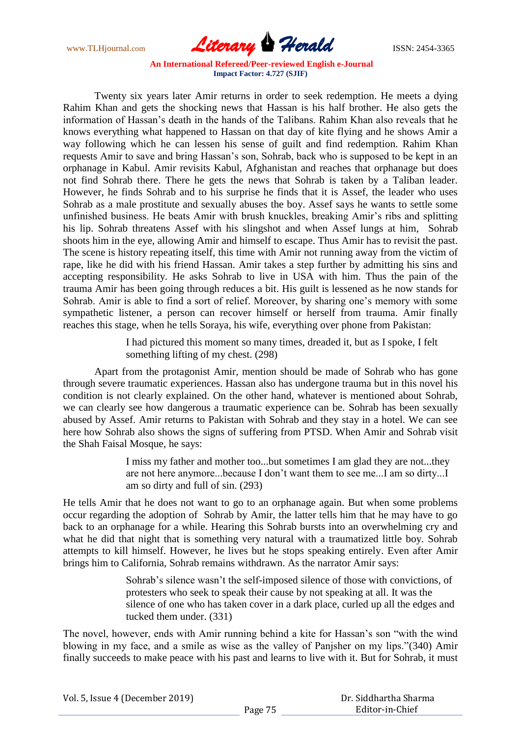www.TLHjournal.com **Literary Herald ISSN: 2454-3365** 

Twenty six years later Amir returns in order to seek redemption. He meets a dying Rahim Khan and gets the shocking news that Hassan is his half brother. He also gets the information of Hassan"s death in the hands of the Talibans. Rahim Khan also reveals that he knows everything what happened to Hassan on that day of kite flying and he shows Amir a way following which he can lessen his sense of guilt and find redemption. Rahim Khan requests Amir to save and bring Hassan"s son, Sohrab, back who is supposed to be kept in an orphanage in Kabul. Amir revisits Kabul, Afghanistan and reaches that orphanage but does not find Sohrab there. There he gets the news that Sohrab is taken by a Taliban leader. However, he finds Sohrab and to his surprise he finds that it is Assef, the leader who uses Sohrab as a male prostitute and sexually abuses the boy. Assef says he wants to settle some unfinished business. He beats Amir with brush knuckles, breaking Amir"s ribs and splitting his lip. Sohrab threatens Assef with his slingshot and when Assef lungs at him, Sohrab shoots him in the eye, allowing Amir and himself to escape. Thus Amir has to revisit the past. The scene is history repeating itself, this time with Amir not running away from the victim of rape, like he did with his friend Hassan. Amir takes a step further by admitting his sins and accepting responsibility. He asks Sohrab to live in USA with him. Thus the pain of the trauma Amir has been going through reduces a bit. His guilt is lessened as he now stands for Sohrab. Amir is able to find a sort of relief. Moreover, by sharing one"s memory with some sympathetic listener, a person can recover himself or herself from trauma. Amir finally reaches this stage, when he tells Soraya, his wife, everything over phone from Pakistan:

> I had pictured this moment so many times, dreaded it, but as I spoke, I felt something lifting of my chest. (298)

Apart from the protagonist Amir, mention should be made of Sohrab who has gone through severe traumatic experiences. Hassan also has undergone trauma but in this novel his condition is not clearly explained. On the other hand, whatever is mentioned about Sohrab, we can clearly see how dangerous a traumatic experience can be. Sohrab has been sexually abused by Assef. Amir returns to Pakistan with Sohrab and they stay in a hotel. We can see here how Sohrab also shows the signs of suffering from PTSD. When Amir and Sohrab visit the Shah Faisal Mosque, he says:

> I miss my father and mother too...but sometimes I am glad they are not...they are not here anymore...because I don"t want them to see me...I am so dirty...I am so dirty and full of sin. (293)

He tells Amir that he does not want to go to an orphanage again. But when some problems occur regarding the adoption of Sohrab by Amir, the latter tells him that he may have to go back to an orphanage for a while. Hearing this Sohrab bursts into an overwhelming cry and what he did that night that is something very natural with a traumatized little boy. Sohrab attempts to kill himself. However, he lives but he stops speaking entirely. Even after Amir brings him to California, Sohrab remains withdrawn. As the narrator Amir says:

> Sohrab's silence wasn't the self-imposed silence of those with convictions, of protesters who seek to speak their cause by not speaking at all. It was the silence of one who has taken cover in a dark place, curled up all the edges and tucked them under. (331)

The novel, however, ends with Amir running behind a kite for Hassan"s son "with the wind blowing in my face, and a smile as wise as the valley of Panjsher on my lips."(340) Amir finally succeeds to make peace with his past and learns to live with it. But for Sohrab, it must

| Vol. 5, Issue 4 (December 2019) |  |
|---------------------------------|--|
|---------------------------------|--|

 Dr. Siddhartha Sharma Editor-in-Chief